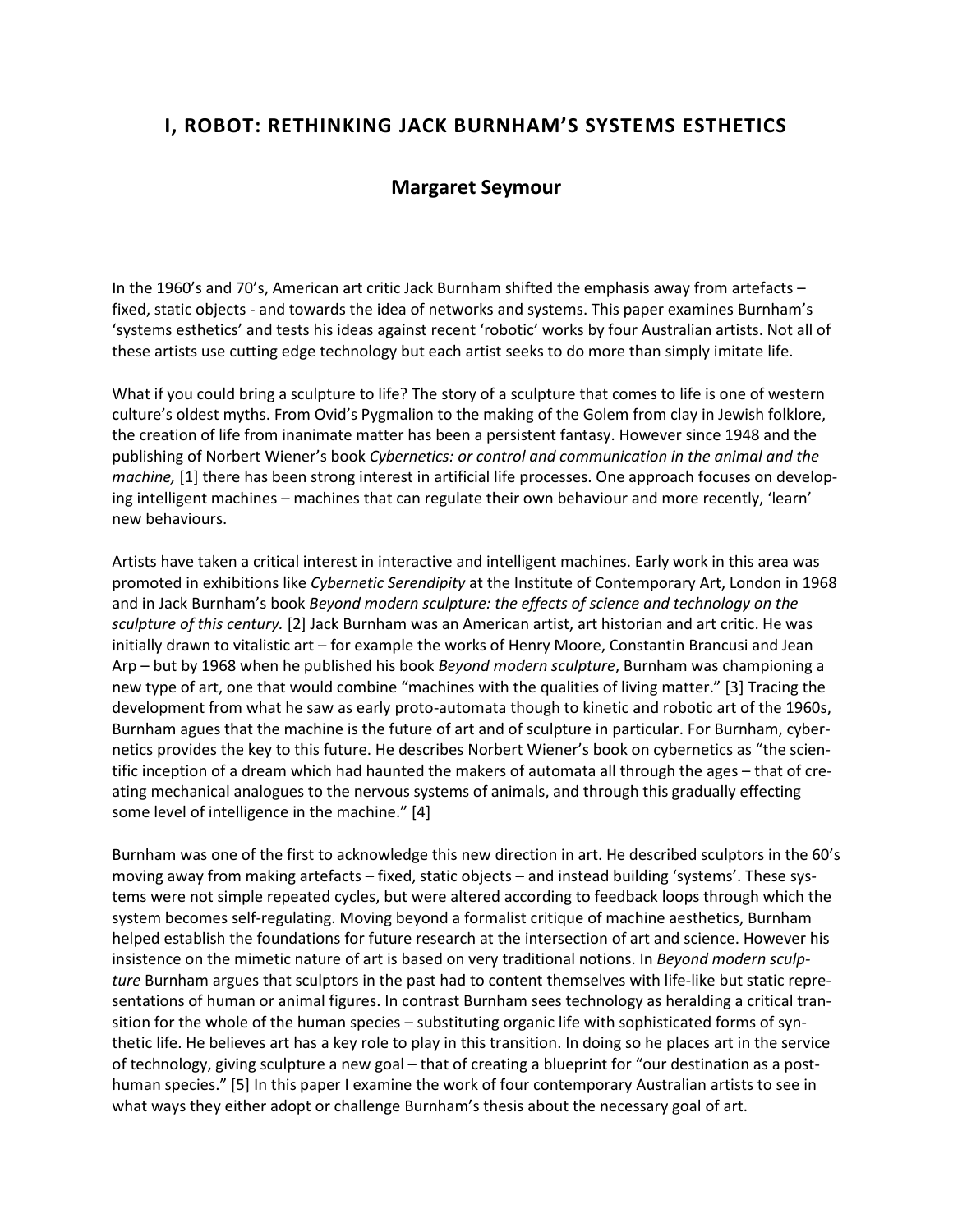## **I, ROBOT: RETHINKING JACK BURNHAM'S SYSTEMS ESTHETICS**

## **Margaret Seymour**

In the 1960's and 70's, American art critic Jack Burnham shifted the emphasis away from artefacts – fixed, static objects - and towards the idea of networks and systems. This paper examines Burnham's 'systems esthetics' and tests his ideas against recent 'robotic' works by four Australian artists. Not all of these artists use cutting edge technology but each artist seeks to do more than simply imitate life.

What if you could bring a sculpture to life? The story of a sculpture that comes to life is one of western culture's oldest myths. From Ovid's Pygmalion to the making of the Golem from clay in Jewish folklore, the creation of life from inanimate matter has been a persistent fantasy. However since 1948 and the publishing of Norbert Wiener's book *Cybernetics: or control and communication in the animal and the machine,* [1] there has been strong interest in artificial life processes. One approach focuses on developing intelligent machines – machines that can regulate their own behaviour and more recently, 'learn' new behaviours.

Artists have taken a critical interest in interactive and intelligent machines. Early work in this area was promoted in exhibitions like *Cybernetic Serendipity* at the Institute of Contemporary Art, London in 1968 and in Jack Burnham's book *Beyond modern sculpture: the effects of science and technology on the sculpture of this century.* [2] Jack Burnham was an American artist, art historian and art critic. He was initially drawn to vitalistic art – for example the works of Henry Moore, Constantin Brancusi and Jean Arp – but by 1968 when he published his book *Beyond modern sculpture*, Burnham was championing a new type of art, one that would combine "machines with the qualities of living matter." [3] Tracing the development from what he saw as early proto-automata though to kinetic and robotic art of the 1960s, Burnham agues that the machine is the future of art and of sculpture in particular. For Burnham, cybernetics provides the key to this future. He describes Norbert Wiener's book on cybernetics as "the scientific inception of a dream which had haunted the makers of automata all through the ages – that of creating mechanical analogues to the nervous systems of animals, and through this gradually effecting some level of intelligence in the machine." [4]

Burnham was one of the first to acknowledge this new direction in art. He described sculptors in the 60's moving away from making artefacts – fixed, static objects – and instead building 'systems'. These systems were not simple repeated cycles, but were altered according to feedback loops through which the system becomes self-regulating. Moving beyond a formalist critique of machine aesthetics, Burnham helped establish the foundations for future research at the intersection of art and science. However his insistence on the mimetic nature of art is based on very traditional notions. In *Beyond modern sculpture* Burnham argues that sculptors in the past had to content themselves with life-like but static representations of human or animal figures. In contrast Burnham sees technology as heralding a critical transition for the whole of the human species – substituting organic life with sophisticated forms of synthetic life. He believes art has a key role to play in this transition. In doing so he places art in the service of technology, giving sculpture a new goal – that of creating a blueprint for "our destination as a posthuman species." [5] In this paper I examine the work of four contemporary Australian artists to see in what ways they either adopt or challenge Burnham's thesis about the necessary goal of art.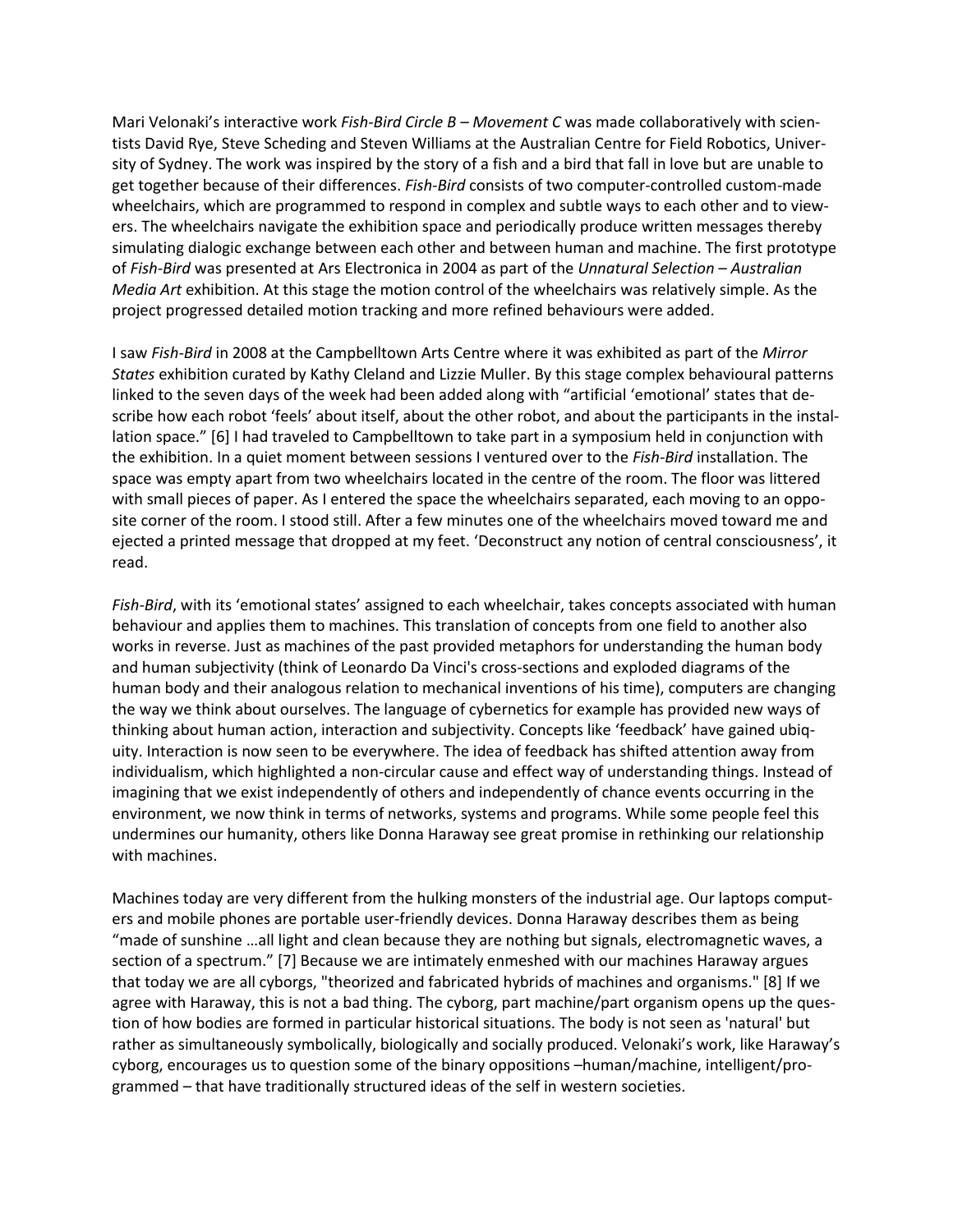Mari Velonaki's interactive work *Fish-Bird Circle B – Movement C* was made collaboratively with scientists David Rye, Steve Scheding and Steven Williams at the Australian Centre for Field Robotics, University of Sydney. The work was inspired by the story of a fish and a bird that fall in love but are unable to get together because of their differences. *Fish-Bird* consists of two computer-controlled custom-made wheelchairs, which are programmed to respond in complex and subtle ways to each other and to viewers. The wheelchairs navigate the exhibition space and periodically produce written messages thereby simulating dialogic exchange between each other and between human and machine. The first prototype of *Fish-Bird* was presented at Ars Electronica in 2004 as part of the *Unnatural Selection – Australian Media Art* exhibition. At this stage the motion control of the wheelchairs was relatively simple. As the project progressed detailed motion tracking and more refined behaviours were added.

I saw *Fish-Bird* in 2008 at the Campbelltown Arts Centre where it was exhibited as part of the *Mirror States* exhibition curated by Kathy Cleland and Lizzie Muller. By this stage complex behavioural patterns linked to the seven days of the week had been added along with "artificial 'emotional' states that describe how each robot 'feels' about itself, about the other robot, and about the participants in the installation space." [6] I had traveled to Campbelltown to take part in a symposium held in conjunction with the exhibition. In a quiet moment between sessions I ventured over to the *Fish-Bird* installation. The space was empty apart from two wheelchairs located in the centre of the room. The floor was littered with small pieces of paper. As I entered the space the wheelchairs separated, each moving to an opposite corner of the room. I stood still. After a few minutes one of the wheelchairs moved toward me and ejected a printed message that dropped at my feet. 'Deconstruct any notion of central consciousness', it read.

*Fish-Bird*, with its 'emotional states' assigned to each wheelchair, takes concepts associated with human behaviour and applies them to machines. This translation of concepts from one field to another also works in reverse. Just as machines of the past provided metaphors for understanding the human body and human subjectivity (think of Leonardo Da Vinci's cross-sections and exploded diagrams of the human body and their analogous relation to mechanical inventions of his time), computers are changing the way we think about ourselves. The language of cybernetics for example has provided new ways of thinking about human action, interaction and subjectivity. Concepts like 'feedback' have gained ubiquity. Interaction is now seen to be everywhere. The idea of feedback has shifted attention away from individualism, which highlighted a non-circular cause and effect way of understanding things. Instead of imagining that we exist independently of others and independently of chance events occurring in the environment, we now think in terms of networks, systems and programs. While some people feel this undermines our humanity, others like Donna Haraway see great promise in rethinking our relationship with machines.

Machines today are very different from the hulking monsters of the industrial age. Our laptops computers and mobile phones are portable user-friendly devices. Donna Haraway describes them as being "made of sunshine …all light and clean because they are nothing but signals, electromagnetic waves, a section of a spectrum." [7] Because we are intimately enmeshed with our machines Haraway argues that today we are all cyborgs, "theorized and fabricated hybrids of machines and organisms." [8] If we agree with Haraway, this is not a bad thing. The cyborg, part machine/part organism opens up the question of how bodies are formed in particular historical situations. The body is not seen as 'natural' but rather as simultaneously symbolically, biologically and socially produced. Velonaki's work, like Haraway's cyborg, encourages us to question some of the binary oppositions –human/machine, intelligent/programmed – that have traditionally structured ideas of the self in western societies.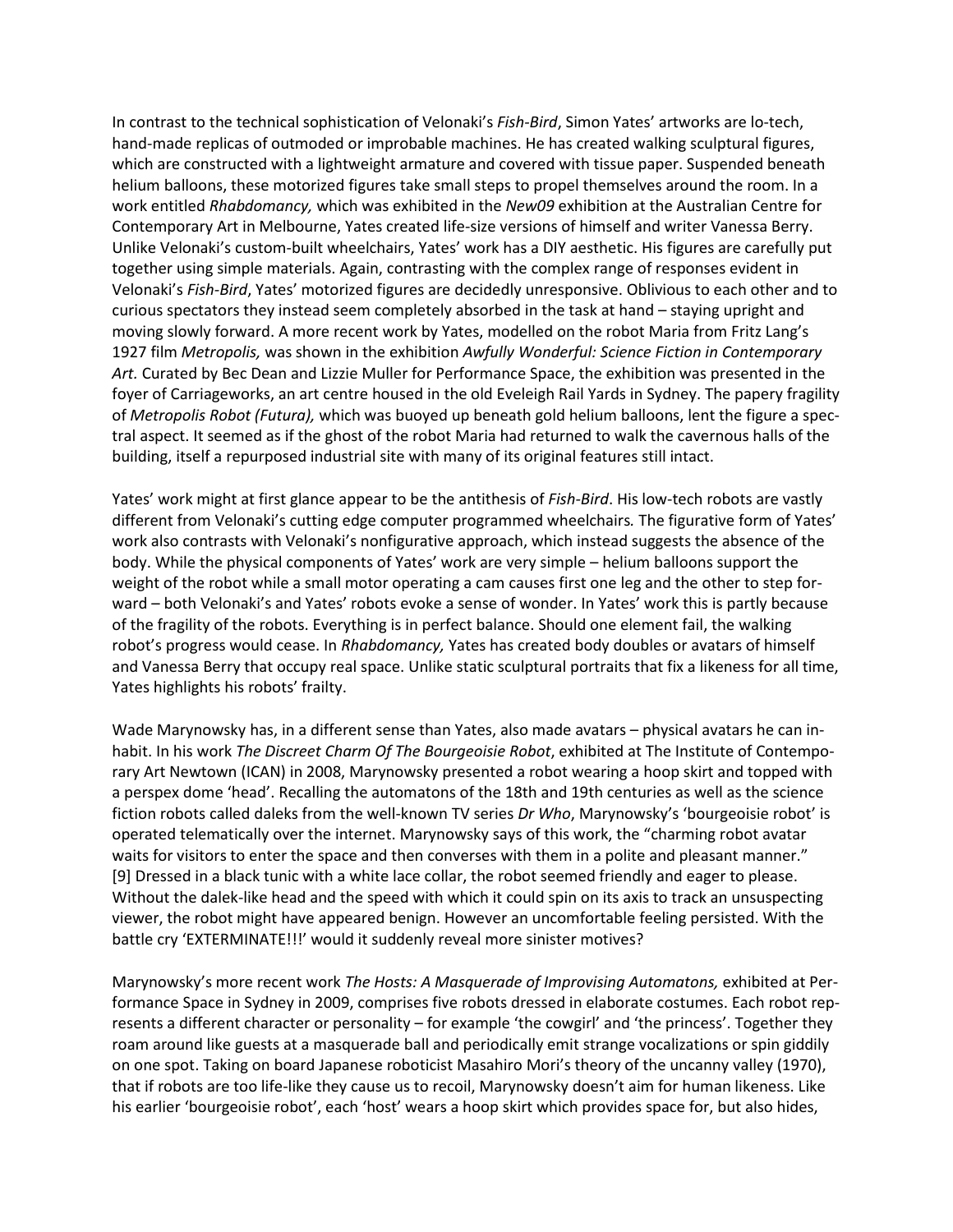In contrast to the technical sophistication of Velonaki's *Fish-Bird*, Simon Yates' artworks are lo-tech, hand-made replicas of outmoded or improbable machines. He has created walking sculptural figures, which are constructed with a lightweight armature and covered with tissue paper. Suspended beneath helium balloons, these motorized figures take small steps to propel themselves around the room. In a work entitled *Rhabdomancy,* which was exhibited in the *New09* exhibition at the Australian Centre for Contemporary Art in Melbourne, Yates created life-size versions of himself and writer Vanessa Berry. Unlike Velonaki's custom-built wheelchairs, Yates' work has a DIY aesthetic. His figures are carefully put together using simple materials. Again, contrasting with the complex range of responses evident in Velonaki's *Fish-Bird*, Yates' motorized figures are decidedly unresponsive. Oblivious to each other and to curious spectators they instead seem completely absorbed in the task at hand – staying upright and moving slowly forward. A more recent work by Yates, modelled on the robot Maria from Fritz Lang's 1927 film *Metropolis,* was shown in the exhibition *Awfully Wonderful: Science Fiction in Contemporary Art.* Curated by Bec Dean and Lizzie Muller for Performance Space, the exhibition was presented in the foyer of Carriageworks, an art centre housed in the old Eveleigh Rail Yards in Sydney. The papery fragility of *Metropolis Robot (Futura),* which was buoyed up beneath gold helium balloons, lent the figure a spectral aspect. It seemed as if the ghost of the robot Maria had returned to walk the cavernous halls of the building, itself a repurposed industrial site with many of its original features still intact.

Yates' work might at first glance appear to be the antithesis of *Fish-Bird*. His low-tech robots are vastly different from Velonaki's cutting edge computer programmed wheelchairs*.* The figurative form of Yates' work also contrasts with Velonaki's nonfigurative approach, which instead suggests the absence of the body. While the physical components of Yates' work are very simple – helium balloons support the weight of the robot while a small motor operating a cam causes first one leg and the other to step forward – both Velonaki's and Yates' robots evoke a sense of wonder. In Yates' work this is partly because of the fragility of the robots. Everything is in perfect balance. Should one element fail, the walking robot's progress would cease. In *Rhabdomancy,* Yates has created body doubles or avatars of himself and Vanessa Berry that occupy real space. Unlike static sculptural portraits that fix a likeness for all time, Yates highlights his robots' frailty.

Wade Marynowsky has, in a different sense than Yates, also made avatars – physical avatars he can inhabit. In his work *The Discreet Charm Of The Bourgeoisie Robot*, exhibited at The Institute of Contemporary Art Newtown (ICAN) in 2008, Marynowsky presented a robot wearing a hoop skirt and topped with a perspex dome 'head'. Recalling the automatons of the 18th and 19th centuries as well as the science fiction robots called daleks from the well-known TV series *Dr Who*, Marynowsky's 'bourgeoisie robot' is operated telematically over the internet. Marynowsky says of this work, the "charming robot avatar waits for visitors to enter the space and then converses with them in a polite and pleasant manner." [9] Dressed in a black tunic with a white lace collar, the robot seemed friendly and eager to please. Without the dalek-like head and the speed with which it could spin on its axis to track an unsuspecting viewer, the robot might have appeared benign. However an uncomfortable feeling persisted. With the battle cry 'EXTERMINATE!!!' would it suddenly reveal more sinister motives?

Marynowsky's more recent work *The Hosts: A Masquerade of Improvising Automatons,* exhibited at Performance Space in Sydney in 2009, comprises five robots dressed in elaborate costumes. Each robot represents a different character or personality – for example 'the cowgirl' and 'the princess'. Together they roam around like guests at a masquerade ball and periodically emit strange vocalizations or spin giddily on one spot. Taking on board Japanese roboticist Masahiro Mori's theory of the uncanny valley (1970), that if robots are too life-like they cause us to recoil, Marynowsky doesn't aim for human likeness. Like his earlier 'bourgeoisie robot', each 'host' wears a hoop skirt which provides space for, but also hides,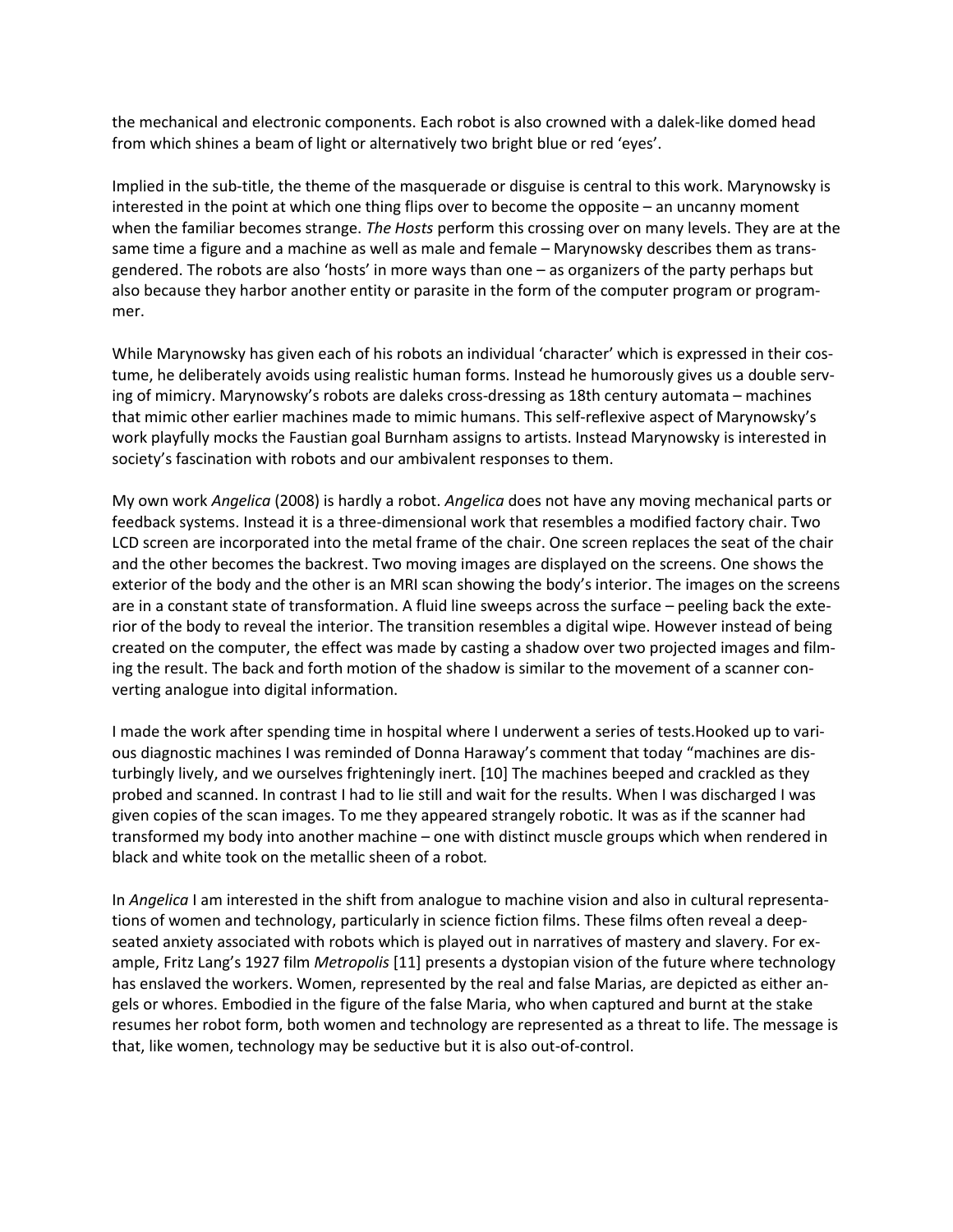the mechanical and electronic components. Each robot is also crowned with a dalek-like domed head from which shines a beam of light or alternatively two bright blue or red 'eyes'.

Implied in the sub-title, the theme of the masquerade or disguise is central to this work. Marynowsky is interested in the point at which one thing flips over to become the opposite – an uncanny moment when the familiar becomes strange. *The Hosts* perform this crossing over on many levels. They are at the same time a figure and a machine as well as male and female – Marynowsky describes them as transgendered. The robots are also 'hosts' in more ways than one – as organizers of the party perhaps but also because they harbor another entity or parasite in the form of the computer program or programmer.

While Marynowsky has given each of his robots an individual 'character' which is expressed in their costume, he deliberately avoids using realistic human forms. Instead he humorously gives us a double serving of mimicry. Marynowsky's robots are daleks cross-dressing as 18th century automata – machines that mimic other earlier machines made to mimic humans. This self-reflexive aspect of Marynowsky's work playfully mocks the Faustian goal Burnham assigns to artists. Instead Marynowsky is interested in society's fascination with robots and our ambivalent responses to them.

My own work *Angelica* (2008) is hardly a robot. *Angelica* does not have any moving mechanical parts or feedback systems. Instead it is a three-dimensional work that resembles a modified factory chair. Two LCD screen are incorporated into the metal frame of the chair. One screen replaces the seat of the chair and the other becomes the backrest. Two moving images are displayed on the screens. One shows the exterior of the body and the other is an MRI scan showing the body's interior. The images on the screens are in a constant state of transformation. A fluid line sweeps across the surface – peeling back the exterior of the body to reveal the interior. The transition resembles a digital wipe. However instead of being created on the computer, the effect was made by casting a shadow over two projected images and filming the result. The back and forth motion of the shadow is similar to the movement of a scanner converting analogue into digital information.

I made the work after spending time in hospital where I underwent a series of tests.Hooked up to various diagnostic machines I was reminded of Donna Haraway's comment that today "machines are disturbingly lively, and we ourselves frighteningly inert. [10] The machines beeped and crackled as they probed and scanned. In contrast I had to lie still and wait for the results. When I was discharged I was given copies of the scan images. To me they appeared strangely robotic. It was as if the scanner had transformed my body into another machine – one with distinct muscle groups which when rendered in black and white took on the metallic sheen of a robot*.*

In *Angelica* I am interested in the shift from analogue to machine vision and also in cultural representations of women and technology, particularly in science fiction films. These films often reveal a deepseated anxiety associated with robots which is played out in narratives of mastery and slavery. For example, Fritz Lang's 1927 film *Metropolis* [11] presents a dystopian vision of the future where technology has enslaved the workers. Women, represented by the real and false Marias, are depicted as either angels or whores. Embodied in the figure of the false Maria, who when captured and burnt at the stake resumes her robot form, both women and technology are represented as a threat to life. The message is that, like women, technology may be seductive but it is also out-of-control.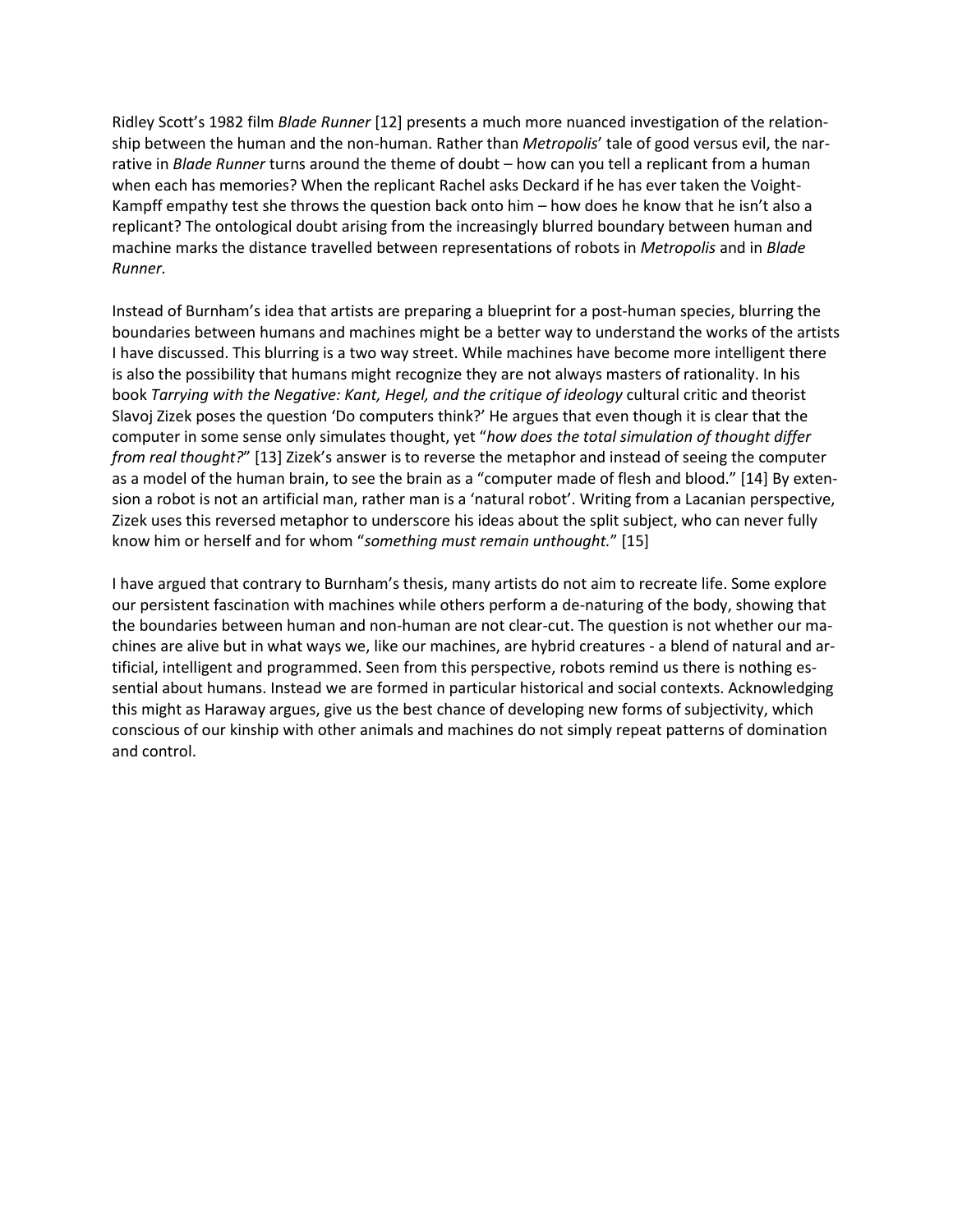Ridley Scott's 1982 film *Blade Runner* [12] presents a much more nuanced investigation of the relationship between the human and the non-human. Rather than *Metropolis*' tale of good versus evil, the narrative in *Blade Runner* turns around the theme of doubt – how can you tell a replicant from a human when each has memories? When the replicant Rachel asks Deckard if he has ever taken the Voight-Kampff empathy test she throws the question back onto him – how does he know that he isn't also a replicant? The ontological doubt arising from the increasingly blurred boundary between human and machine marks the distance travelled between representations of robots in *Metropolis* and in *Blade Runner.*

Instead of Burnham's idea that artists are preparing a blueprint for a post-human species, blurring the boundaries between humans and machines might be a better way to understand the works of the artists I have discussed. This blurring is a two way street. While machines have become more intelligent there is also the possibility that humans might recognize they are not always masters of rationality. In his book *Tarrying with the Negative: Kant, Hegel, and the critique of ideology* cultural critic and theorist Slavoj Zizek poses the question 'Do computers think?' He argues that even though it is clear that the computer in some sense only simulates thought, yet "*how does the total simulation of thought differ from real thought?*" [13] Zizek's answer is to reverse the metaphor and instead of seeing the computer as a model of the human brain, to see the brain as a "computer made of flesh and blood." [14] By extension a robot is not an artificial man, rather man is a 'natural robot'. Writing from a Lacanian perspective, Zizek uses this reversed metaphor to underscore his ideas about the split subject, who can never fully know him or herself and for whom "*something must remain unthought.*" [15]

I have argued that contrary to Burnham's thesis, many artists do not aim to recreate life. Some explore our persistent fascination with machines while others perform a de-naturing of the body, showing that the boundaries between human and non-human are not clear-cut. The question is not whether our machines are alive but in what ways we, like our machines, are hybrid creatures - a blend of natural and artificial, intelligent and programmed. Seen from this perspective, robots remind us there is nothing essential about humans. Instead we are formed in particular historical and social contexts. Acknowledging this might as Haraway argues, give us the best chance of developing new forms of subjectivity, which conscious of our kinship with other animals and machines do not simply repeat patterns of domination and control.